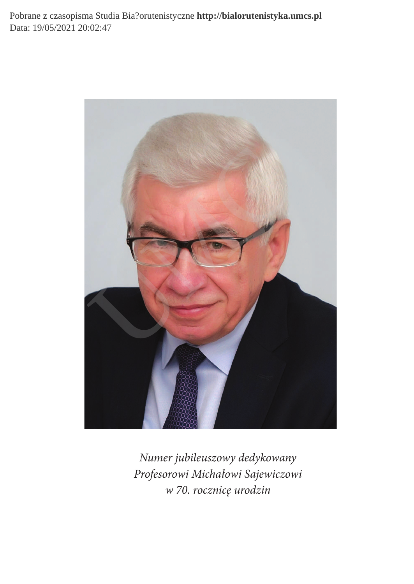Pobrane z czasopisma Studia Bia?orutenistyczne **http://bialorutenistyka.umcs.pl** Data: 19/05/2021 20:02:47



Numer jubileuszowy dedykowany Profesorowi Michałowi Sajewiczowi w 70. rocznicę urodzin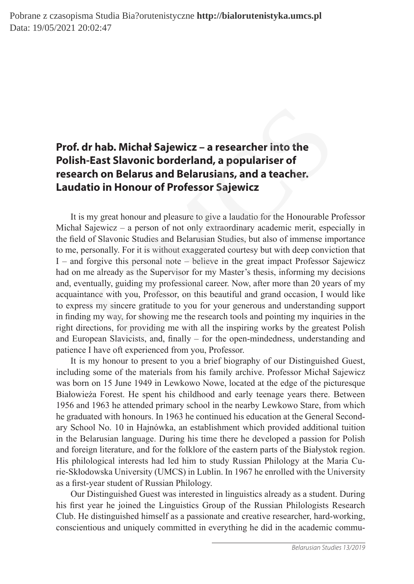## **Prof. dr hab. Michał Sajewicz – a researcher into the Polish-East Slavonic borderland, a populariser of research on Belarus and Belarusians, and a teacher. Laudatio in Honour of Professor Sajewicz**

It is my great honour and pleasure to give a laudatio for the Honourable Professor Michał Sajewicz – a person of not only extraordinary academic merit, especially in the ield of Slavonic Studies and Belarusian Studies, but also of immense importance to me, personally. For it is without exaggerated courtesy but with deep conviction that I – and forgive this personal note – believe in the great impact Professor Sajewicz had on me already as the Supervisor for my Master's thesis, informing my decisions and, eventually, guiding my professional career. Now, after more than 20 years of my acquaintance with you, Professor, on this beautiful and grand occasion, I would like to express my sincere gratitude to you for your generous and understanding support in inding my way, for showing me the research tools and pointing my inquiries in the right directions, for providing me with all the inspiring works by the greatest Polish and European Slavicists, and, inally – for the open-mindedness, understanding and patience I have oft experienced from you, Professor. **Ir hab. Michał Sajewicz – a researcher into the**<br>**-East Slavonic borderland, a populariser of**<br>**ch on Belarus and Belarusians, and a teacher.**<br>**tio in Honour of Professor Sajewicz**<br>my great honour and pleasure to give a

It is my honour to present to you a brief biography of our Distinguished Guest, including some of the materials from his family archive. Professor Michał Sajewicz was born on 15 June 1949 in Lewkowo Nowe, located at the edge of the picturesque Białowieża Forest. He spent his childhood and early teenage years there. Between 1956 and 1963 he attended primary school in the nearby Lewkowo Stare, from which he graduated with honours. In 1963 he continued his education at the General Secondary School No. 10 in Hajnówka, an establishment which provided additional tuition in the Belarusian language. During his time there he developed a passion for Polish and foreign literature, and for the folklore of the eastern parts of the Białystok region. His philological interests had led him to study Russian Philology at the Maria Curie-Skłodowska University (UMCS) in Lublin. In 1967 he enrolled with the University as a first-year student of Russian Philology.

Our Distinguished Guest was interested in linguistics already as a student. During his irst year he joined the Linguistics Group of the Russian Philologists Research Club. He distinguished himself as a passionate and creative researcher, hard-working, conscientious and uniquely committed in everything he did in the academic commu-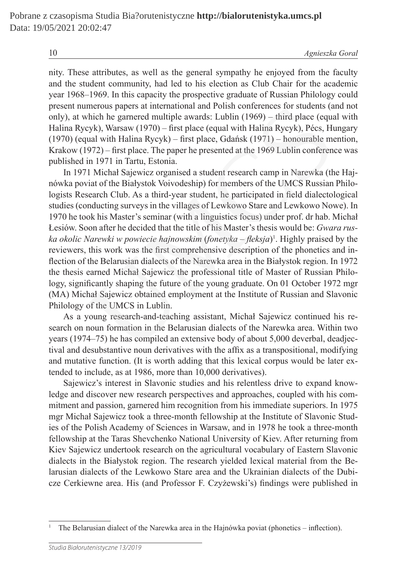nity. These attributes, as well as the general sympathy he enjoyed from the faculty and the student community, had led to his election as Club Chair for the academic year 1968–1969. In this capacity the prospective graduate of Russian Philology could present numerous papers at international and Polish conferences for students (and not only), at which he garnered multiple awards: Lublin (1969) – third place (equal with Halina Rycyk), Warsaw (1970) – first place (equal with Halina Rycyk), Pécs, Hungary (1970) (equal with Halina Rycyk) – first place, Gdańsk (1971) – honourable mention, Krakow  $(1972)$  – first place. The paper he presented at the 1969 Lublin conference was published in 1971 in Tartu, Estonia.

In 1971 Michał Sajewicz organised a student research camp in Narewka (the Hajnówka poviat of the Białystok Voivodeship) for members of the UMCS Russian Philologists Research Club. As a third-year student, he participated in field dialectological studies (conducting surveys in the villages of Lewkowo Stare and Lewkowo Nowe). In 1970 he took his Master's seminar (with a linguistics focus) under prof. dr hab. Michał Łesiów. Soon after he decided that the title of his Master's thesis would be: *Gwara ruska okolic Narewki w powiecie hajnowskim* (*fonetyka* – *leksja*) 1 . Highly praised by the reviewers, this work was the irst comprehensive description of the phonetics and inflection of the Belarusian dialects of the Narewka area in the Białystok region. In 1972 the thesis earned Michał Sajewicz the professional title of Master of Russian Philology, significantly shaping the future of the young graduate. On 01 October 1972 mgr (MA) Michał Sajewicz obtained employment at the Institute of Russian and Slavonic Philology of the UMCS in Lublin. merous papers at international and Polish conferences for students (a hich he garred multiple awards: Lublin (1969) – third place (equal with Halina Rycyk), Warsaw (1970) – first place (equal with Halina Rycyk), Pécs, Hua

As a young research-and-teaching assistant, Michał Sajewicz continued his research on noun formation in the Belarusian dialects of the Narewka area. Within two years (1974–75) he has compiled an extensive body of about 5,000 deverbal, deadjectival and desubstantive noun derivatives with the afix as a transpositional, modifying and mutative function. (It is worth adding that this lexical corpus would be later extended to include, as at 1986, more than 10,000 derivatives).

Sajewicz's interest in Slavonic studies and his relentless drive to expand knowledge and discover new research perspectives and approaches, coupled with his commitment and passion, garnered him recognition from his immediate superiors. In 1975 mgr Michał Sajewicz took a three-month fellowship at the Institute of Slavonic Studies of the Polish Academy of Sciences in Warsaw, and in 1978 he took a three-month fellowship at the Taras Shevchenko National University of Kiev. After returning from Kiev Sajewicz undertook research on the agricultural vocabulary of Eastern Slavonic dialects in the Białystok region. The research yielded lexical material from the Belarusian dialects of the Lewkowo Stare area and the Ukrainian dialects of the Dubicze Cerkiewne area. His (and Professor F. Czyżewski's) findings were published in

<sup>1</sup>The Belarusian dialect of the Narewka area in the Hajnówka poviat (phonetics – inlection).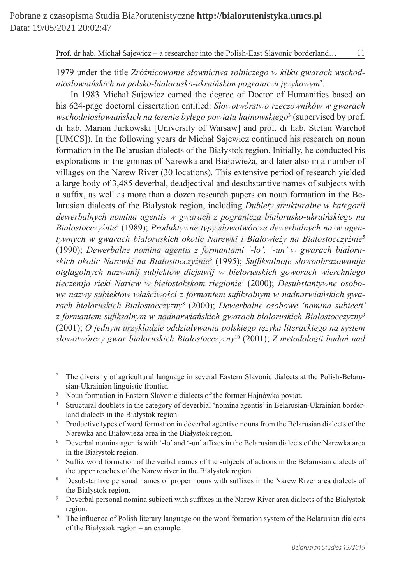1979 under the title *Zróżnicowanie słownictwa rolniczego w kilku gwarach wschodniosłowiańskich na polsko-białorusko-ukraińskim pograniczu językowym*<sup>2</sup> .

In 1983 Michał Sajewicz earned the degree of Doctor of Humanities based on his 624-page doctoral dissertation entitled: *Słowotwórstwo rzeczowników w gwarach wschodniosłowiańskich na terenie byłego powiatu hajnowskiego*<sup>3</sup> (supervised by prof. dr hab. Marian Jurkowski [University of Warsaw] and prof. dr hab. Stefan Warchoł [UMCS]). In the following years dr Michał Sajewicz continued his research on noun formation in the Belarusian dialects of the Białystok region. Initially, he conducted his explorations in the gminas of Narewka and Białowieża, and later also in a number of villages on the Narew River (30 locations). This extensive period of research yielded a large body of 3,485 deverbal, deadjectival and desubstantive names of subjects with a sufix, as well as more than a dozen research papers on noun formation in the Belarusian dialects of the Białystok region, including *Dublety strukturalne w kategorii dewerbalnych nomina agentis w gwarach z pogranicza białorusko-ukraińskiego na Białostocczyźnie*<sup>4</sup> (1989); *Produktywne typy słowotwórcze dewerbalnych nazw agentywnych w gwarach białoruskich okolic Narewki i Białowieży na Białostocczyźnie*<sup>5</sup> (1990); *Dewerbalne nomina agentis z formantami '-ło', '-un' w gwarach białoruskich okolic Narewki na Białostocczyźnie*<sup>6</sup> (1995); *Sufiksalnoje słowoobrazowanije otgłagolnych nazwanij subjektow diejstwij w biełorusskich goworach wierchniego tieczenija rieki Nariew w biełostokskom riegionie*<sup>7</sup> (2000); *Desubstantywne osobowe nazwy subiektów właściwości z formantem suiksalnym w nadnarwiańskich gwarach białoruskich Białostocczyzny*<sup>8</sup> (2000); *Dewerbalne osobowe 'nomina subiecti' z formantem suiksalnym w nadnarwiańskich gwarach białoruskich Białostocczyzny*<sup>9</sup> (2001); *O jednym przykładzie oddziaływania polskiego języka literackiego na system słowotwórczy gwar białoruskich Białostocczyzny*<sup>10</sup> (2001); *Z metodologii badań nad*  page doctoral dissertation entitled: *Slowotworstwo rzeczownikow w g*<br>
intoshovianishich na terenie bylego powiatu hajnowskiego<sup>3</sup> (supervised<br>
Marian Jurkowski [University of Warsaw] and prof. dr hab. Stefan<br>
)). In the f

<sup>&</sup>lt;sup>2</sup> The diversity of agricultural language in several Eastern Slavonic dialects at the Polish-Belarusian-Ukrainian linguistic frontier.

<sup>&</sup>lt;sup>3</sup> Noun formation in Eastern Slavonic dialects of the former Hajnówka poviat.

<sup>4</sup> Structural doublets in the category of deverbial 'nomina agentis' in Belarusian-Ukrainian borderland dialects in the Białystok region.

<sup>&</sup>lt;sup>5</sup> Productive types of word formation in deverbal agentive nouns from the Belarusian dialects of the Narewka and Białowieża area in the Białystok region.

<sup>&</sup>lt;sup>6</sup> Deverbal nomina agentis with '-lo' and '-un' affixes in the Belarusian dialects of the Narewka area in the Białystok region.

<sup>7</sup>Sufix word formation of the verbal names of the subjects of actions in the Belarusian dialects of the upper reaches of the Narew river in the Bialystok region.

<sup>&</sup>lt;sup>8</sup> Desubstantive personal names of proper nouns with suffixes in the Narew River area dialects of the Bialystok region.

<sup>&</sup>lt;sup>9</sup> Deverbal personal nomina subiecti with suffixes in the Narew River area dialects of the Białystok region.

<sup>&</sup>lt;sup>10</sup> The influence of Polish literary language on the word formation system of the Belarusian dialects of the Białystok region – an example.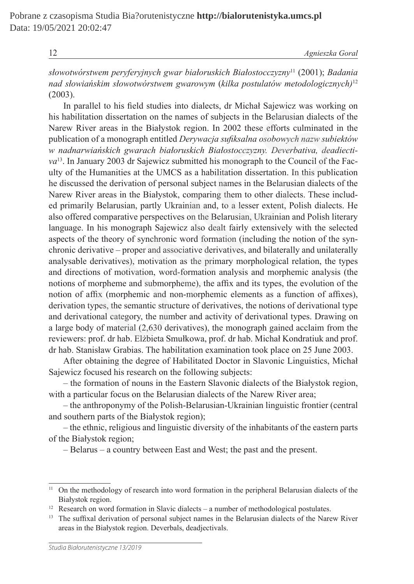12 *Agnieszka Goral*

*słowotwórstwem peryferyjnych gwar białoruskich Białostocczyzny*<sup>11</sup> (2001); *Badania nad słowiańskim słowotwórstwem gwarowym* (*kilka postulatów metodologicznych)*<sup>12</sup> (2003).

In parallel to his field studies into dialects, dr Michał Sajewicz was working on his habilitation dissertation on the names of subjects in the Belarusian dialects of the Narew River areas in the Białystok region. In 2002 these efforts culminated in the publication of a monograph entitled *Derywacja suiksalna osobowych nazw subiektów w nadnarwiańskich gwarach białoruskich Białostocczyzny. Deverbativa, deadiectiva*<sup>13</sup>. In January 2003 dr Sajewicz submitted his monograph to the Council of the Faculty of the Humanities at the UMCS as a habilitation dissertation. In this publication he discussed the derivation of personal subject names in the Belarusian dialects of the Narew River areas in the Białystok, comparing them to other dialects. These included primarily Belarusian, partly Ukrainian and, to a lesser extent, Polish dialects. He also offered comparative perspectives on the Belarusian, Ukrainian and Polish literary language. In his monograph Sajewicz also dealt fairly extensively with the selected aspects of the theory of synchronic word formation (including the notion of the synchronic derivative – proper and associative derivatives, and bilaterally and unilaterally analysable derivatives), motivation as the primary morphological relation, the types and directions of motivation, word-formation analysis and morphemic analysis (the notions of morpheme and submorpheme), the afix and its types, the evolution of the notion of afix (morphemic and non-morphemic elements as a function of afixes), derivation types, the semantic structure of derivatives, the notions of derivational type and derivational category, the number and activity of derivational types. Drawing on a large body of material (2,630 derivatives), the monograph gained acclaim from the reviewers: prof. dr hab. Elżbieta Smułkowa, prof. dr hab. Michał Kondratiuk and prof. dr hab. Stanisław Grabias. The habilitation examination took place on 25 June 2003. allel to his held studies into dialects, dr Michał Sajewicz was workit<br>attion dissertation on the names of subjects in the Belarusian dialects<br>wer areas in the Białystok region. In 2002 these efforts culminated<br>or of a mon

After obtaining the degree of Habilitated Doctor in Slavonic Linguistics, Michał Sajewicz focused his research on the following subjects:

– the formation of nouns in the Eastern Slavonic dialects of the Białystok region, with a particular focus on the Belarusian dialects of the Narew River area;

– the anthroponymy of the Polish-Belarusian-Ukrainian linguistic frontier (central and southern parts of the Białystok region);

– the ethnic, religious and linguistic diversity of the inhabitants of the eastern parts of the Białystok region;

– Belarus – a country between East and West; the past and the present.

<sup>&</sup>lt;sup>11</sup> On the methodology of research into word formation in the peripheral Belarusian dialects of the Białystok region.

<sup>&</sup>lt;sup>12</sup> Research on word formation in Slavic dialects – a number of methodological postulates.

<sup>&</sup>lt;sup>13</sup> The suffixal derivation of personal subject names in the Belarusian dialects of the Narew River areas in the Białystok region. Deverbals, deadjectivals.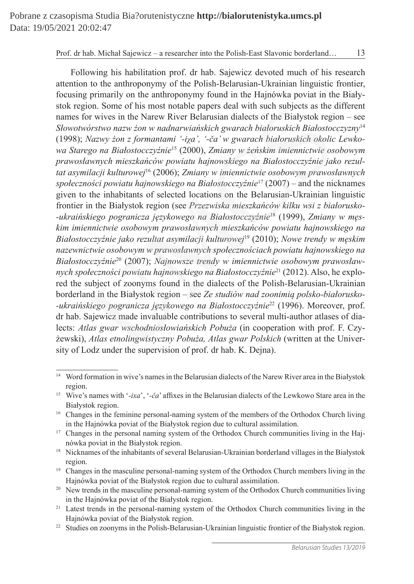Following his habilitation prof. dr hab. Sajewicz devoted much of his research attention to the anthroponymy of the Polish-Belarusian-Ukrainian linguistic frontier, focusing primarily on the anthroponymy found in the Hajnówka poviat in the Białystok region. Some of his most notable papers deal with such subjects as the different names for wives in the Narew River Belarusian dialects of the Białystok region – see *Słowotwórstwo nazw żon w nadnarwiańskich gwarach białoruskich Białostocczyzny*<sup>14</sup> (1998); *Nazwy żon z formantami '-iÍa', '-ča' w gwarach białoruskich okolic Lewkowa Starego na Białostocczyźnie*<sup>15</sup> (2000), *Zmiany w żeńskim imiennictwie osobowym prawosławnych mieszkańców powiatu hajnowskiego na Białostocczyźnie jako rezultat asymilacji kulturowej*<sup>16</sup> (2006); *Zmiany w imiennictwie osobowym prawosławnych społeczności powiatu hajnowskiego na Białostocczyźnie*<sup>17</sup> (2007) – and the nicknames given to the inhabitants of selected locations on the Belarusian-Ukrainian linguistic frontier in the Białystok region (see *Przezwiska mieszkańców kilku wsi z białorusko- -ukraińskiego pogranicza językowego na Białostocczyźnie*18 (1999), *Zmiany w męskim imiennictwie osobowym prawosławnych mieszkańców powiatu hajnowskiego na Białostocczyźnie jako rezultat asymilacji kulturowej*<sup>19</sup> (2010); *Nowe trendy w męskim nazewnictwie osobowym w prawosławnych społecznościach powiatu hajnowskiego na Białostocczyźnie*20 (2007); *Najnowsze trendy w imiennictwie osobowym prawosławnych społeczności powiatu hajnowskiego na Białostocczyźnie*21 (2012). Also, he explored the subject of zoonyms found in the dialects of the Polish-Belarusian-Ukrainian borderland in the Białystok region – see *Ze studiów nad zoonimią polsko-białorusko- -ukraińskiego pogranicza językowego na Białostocczyźnie*<sup>22</sup> (1996). Moreover, prof. dr hab. Sajewicz made invaluable contributions to several multi-author atlases of dialects: *Atlas gwar wschodniosłowiańskich Pobuża* (in cooperation with prof. F. Czyżewski), *Atlas etnolingwistyczny Pobuża, Atlas gwar Polskich* (written at the University of Lodz under the supervision of prof. dr hab. K. Dejna). ion. Some of his most notable papers deal with such subjects as the *o*r wives in the Narew River Belarusian dialects of the Białystok region *n* wives in the Narew River Belarusian dialects of the Białystok region *n* So

<sup>&</sup>lt;sup>14</sup> Word formation in wive's names in the Belarusian dialects of the Narew River area in the Białystok region.

<sup>15</sup> Wive's names with '*-iхa*', '*-ča*' afixes in the Belarusian dialects of the Lewkowo Stare area in the Białystok region.

<sup>&</sup>lt;sup>16</sup> Changes in the feminine personal-naming system of the members of the Orthodox Church living in the Hajnówka poviat of the Białystok region due to cultural assimilation.

<sup>&</sup>lt;sup>17</sup> Changes in the personal naming system of the Orthodox Church communities living in the Hajnówka poviat in the Białystok region.

<sup>&</sup>lt;sup>18</sup> Nicknames of the inhabitants of several Belarusian-Ukrainian borderland villages in the Białystok region.

<sup>&</sup>lt;sup>19</sup> Changes in the masculine personal-naming system of the Orthodox Church members living in the Hajnówka poviat of the Białystok region due to cultural assimilation.

<sup>&</sup>lt;sup>20</sup> New trends in the masculine personal-naming system of the Orthodox Church communities living in the Hajnówka poviat of the Białystok region.

<sup>&</sup>lt;sup>21</sup> Latest trends in the personal-naming system of the Orthodox Church communities living in the Hajnówka poviat of the Białystok region.

<sup>&</sup>lt;sup>22</sup> Studies on zoonyms in the Polish-Belarusian-Ukrainian linguistic frontier of the Białystok region.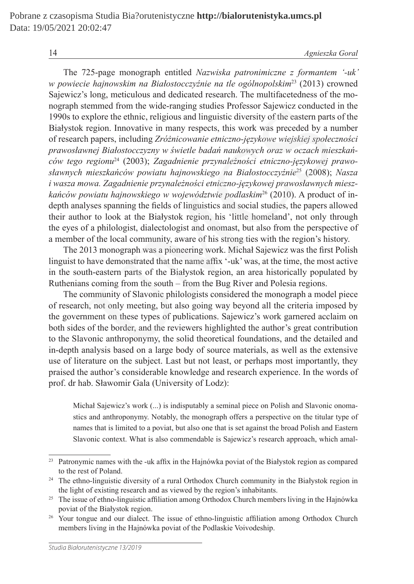14 *Agnieszka Goral*

The 725-page monograph entitled *Nazwiska patronimiczne z formantem '-uk' w powiecie hajnowskim na Białostocczyźnie na tle ogólnopolskim*<sup>23</sup> (2013) crowned Sajewicz's long, meticulous and dedicated research. The multifacetedness of the monograph stemmed from the wide-ranging studies Professor Sajewicz conducted in the 1990s to explore the ethnic, religious and linguistic diversity of the eastern parts of the Białystok region. Innovative in many respects, this work was preceded by a number of research papers, including *Zróżnicowanie etniczno-językowe wiejskiej społeczności prawosławnej Białostocczyzny w świetle badań naukowych oraz w oczach mieszkańców tego regionu*24 (2003); *Zagadnienie przynależności etniczno-językowej prawosławnych mieszkańców powiatu hajnowskiego na Białostocczyźnie*<sup>25</sup> (2008); *Nasza i wasza mowa. Zagadnienie przynależności etniczno-językowej prawosławnych mieszkańców powiatu hajnowskiego w województwie podlaskim*26 (2010). A product of indepth analyses spanning the fields of linguistics and social studies, the papers allowed their author to look at the Białystok region, his 'little homeland', not only through the eyes of a philologist, dialectologist and onomast, but also from the perspective of a member of the local community, aware of his strong ties with the region's history. remmed from the wide-ranging studies Protessor Sajewicz conducted<br>region. Innovative in eigious and linguistic diversity of the eastern parts<br>region. Innovative in many respects, this work was preceded by a n<br>papers, incl

The 2013 monograph was a pioneering work. Michał Sajewicz was the first Polish linguist to have demonstrated that the name afix '-uk' was, at the time, the most active in the south-eastern parts of the Białystok region, an area historically populated by Ruthenians coming from the south – from the Bug River and Polesia regions.

The community of Slavonic philologists considered the monograph a model piece of research, not only meeting, but also going way beyond all the criteria imposed by the government on these types of publications. Sajewicz's work garnered acclaim on both sides of the border, and the reviewers highlighted the author's great contribution to the Slavonic anthroponymy, the solid theoretical foundations, and the detailed and in-depth analysis based on a large body of source materials, as well as the extensive use of literature on the subject. Last but not least, or perhaps most importantly, they praised the author's considerable knowledge and research experience. In the words of prof. dr hab. Sławomir Gala (University of Lodz):

Michał Sajewicz's work (...) is indisputably a seminal piece on Polish and Slavonic onomastics and anthroponymy. Notably, the monograph offers a perspective on the titular type of names that is limited to a poviat, but also one that is set against the broad Polish and Eastern Slavonic context. What is also commendable is Sajewicz's research approach, which amal-

<sup>&</sup>lt;sup>23</sup> Patronymic names with the -uk affix in the Hajnówka poviat of the Białystok region as compared to the rest of Poland.

<sup>&</sup>lt;sup>24</sup> The ethno-linguistic diversity of a rural Orthodox Church community in the Białystok region in the light of existing research and as viewed by the region's inhabitants.

<sup>&</sup>lt;sup>25</sup> The issue of ethno-linguistic affiliation among Orthodox Church members living in the Hajnówka poviat of the Białystok region.

<sup>&</sup>lt;sup>26</sup> Your tongue and our dialect. The issue of ethno-linguistic affiliation among Orthodox Church members living in the Hajnówka poviat of the Podlaskie Voivodeship.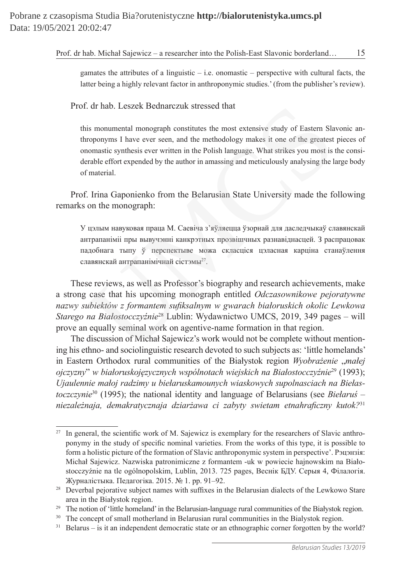gamates the attributes of a linguistic  $-$  i.e. onomastic  $-$  perspective with cultural facts, the latter being a highly relevant factor in anthroponymic studies.' (from the publisher's review).

Prof. dr hab. Leszek Bednarczuk stressed that

this monumental monograph constitutes the most extensive study of Eastern Slavonic anthroponyms I have ever seen, and the methodology makes it one of the greatest pieces of onomastic synthesis ever written in the Polish language. What strikes you most is the considerable effort expended by the author in amassing and meticulously analysing the large body of material.

Prof. Irina Gaponienko from the Belarusian State University made the following remarks on the monograph:

У цэлым навуковая праца М. Саевіча з'яўляецца ўзорнай для даследчыкаў славянскай антрапаніміі пры вывучэнні канкрэтных прозвішчных разнавіднасцей. З распрацовак падобнага тыпу ў перспектыве можа скласціся цэласная карціна станаўлення славянскай антрапанімічнай сістэмы<sup>27</sup>.

These reviews, as well as Professor's biography and research achievements, make a strong case that his upcoming monograph entitled *Odczasownikowe pejoratywne nazwy subiektów z formantem suiksalnym w gwarach białoruskich okolic Lewkowa Starego na Białostocczyźnie*<sup>28</sup> Lublin: Wydawnictwo UMCS, 2019, 349 pages – will prove an equally seminal work on agentive-name formation in that region. . dr hab. Leszek Bednarczuk stressed that<br>
is monumental monograph constitutes the most extensive study of Eastern Sla<br>
roponyms I have ever seen, and the methodology makes it one of the greatest<br>
iomonyms I have ever se

The discussion of Michał Sajewicz's work would not be complete without mentioning his ethno- and sociolinguistic research devoted to such subjects as: 'little homelands' in Eastern Orthodox rural communities of the Białystok region *Wyobrażenie* "*małej ojczyzny*" *w białoruskojęzycznych wspólnotach wiejskich na Białostocczyźnie*<sup>29</sup> (1993); *Ujaulennie małoj radzimy u biełaruskamounych wiaskowych supolnasciach na Biełastoczczynie*<sup>30</sup> (1995); the national identity and language of Belarusians (see *Biełaruś – niezależnaja, demakratycznaja dziarżawa ci zabyty swietam etnahraiczny kutok?*<sup>31</sup>

<sup>&</sup>lt;sup>27</sup> In general, the scientific work of M. Sajewicz is exemplary for the researchers of Slavic anthroponymy in the study of speciic nominal varieties. From the works of this type, it is possible to form a holistic picture of the formation of Slavic anthroponymic system in perspective'. Рэцэнзія: Michał Sajewicz. Nazwiska patronimiczne z formantem -uk w powiecie hajnowskim na Białostocczyźnie na tle ogólnopolskim, Lublin, 2013. 725 pages, Веснік БДУ. Серыя 4, Філалогія. Журналістыка. Педагогіка. 2015. № 1. pp. 91–92.

<sup>&</sup>lt;sup>28</sup> Deverbal pejorative subject names with suffixes in the Belarusian dialects of the Lewkowo Stare area in the Białystok region.

<sup>&</sup>lt;sup>29</sup> The notion of 'little homeland' in the Belarusian-language rural communities of the Białystok region.

<sup>&</sup>lt;sup>30</sup> The concept of small motherland in Belarusian rural communities in the Bialystok region.

<sup>&</sup>lt;sup>31</sup> Belarus – is it an independent democratic state or an ethnographic corner forgotten by the world?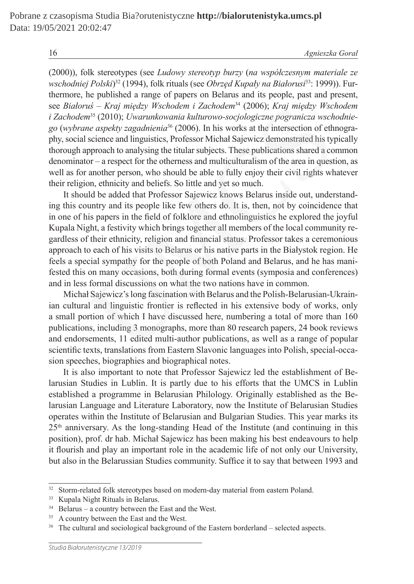16 *Agnieszka Goral*

(2000)), folk stereotypes (see *Ludowy stereotyp burzy* (*na współczesnym materiale ze wschodniej Polski*) 32 (1994), folk rituals (see *Obrzęd Kupały na Białorusi*33: 1999)). Furthermore, he published a range of papers on Belarus and its people, past and present, see *Białoruś – Kraj między Wschodem i Zachodem*<sup>34</sup> (2006); *Kraj między Wschodem i Zachodem*<sup>35</sup> (2010); *Uwarunkowania kulturowo-socjologiczne pogranicza wschodniego* (*wybrane aspekty zagadnienia*36 (2006). In his works at the intersection of ethnography, social science and linguistics, Professor Michał Sajewicz demonstrated his typically thorough approach to analysing the titular subjects. These publications shared a common denominator – a respect for the otherness and multiculturalism of the area in question, as well as for another person, who should be able to fully enjoy their civil rights whatever their religion, ethnicity and beliefs. So little and yet so much.

It should be added that Professor Sajewicz knows Belarus inside out, understanding this country and its people like few others do. It is, then, not by coincidence that in one of his papers in the ield of folklore and ethnolinguistics he explored the joyful Kupala Night, a festivity which brings together all members of the local community regardless of their ethnicity, religion and inancial status. Professor takes a ceremonious approach to each of his visits to Belarus or his native parts in the Białystok region. He feels a special sympathy for the people of both Poland and Belarus, and he has manifested this on many occasions, both during formal events (symposia and conferences) and in less formal discussions on what the two nations have in common. as – *Kray muedzy Wschodem i Zachodem*<sup>34</sup> (2006); *Kray muedzy Wschodem*<br>  $n^3$  (2010); *Uwaruhkowania kulturow-osocjologiczne pogranicza wschodem*<br>  $n^3$  (2010); *Uwaruhkowania kulturow-osocjologiczne pogranicza wschete* 

Michał Sajewicz's long fascination with Belarus and the Polish-Belarusian-Ukrainian cultural and linguistic frontier is relected in his extensive body of works, only a small portion of which I have discussed here, numbering a total of more than 160 publications, including 3 monographs, more than 80 research papers, 24 book reviews and endorsements, 11 edited multi-author publications, as well as a range of popular scientific texts, translations from Eastern Slavonic languages into Polish, special-occasion speeches, biographies and biographical notes.

It is also important to note that Professor Sajewicz led the establishment of Belarusian Studies in Lublin. It is partly due to his efforts that the UMCS in Lublin established a programme in Belarusian Philology. Originally established as the Belarusian Language and Literature Laboratory, now the Institute of Belarusian Studies operates within the Institute of Belarusian and Bulgarian Studies. This year marks its  $25<sup>th</sup>$  anniversary. As the long-standing Head of the Institute (and continuing in this position), prof. dr hab. Michał Sajewicz has been making his best endeavours to help it lourish and play an important role in the academic life of not only our University, but also in the Belarussian Studies community. Sufice it to say that between 1993 and

<sup>&</sup>lt;sup>32</sup> Storm-related folk stereotypes based on modern-day material from eastern Poland.

<sup>33</sup> Kupala Night Rituals in Belarus.

<sup>34</sup> Belarus – a country between the East and the West.

<sup>&</sup>lt;sup>35</sup> A country between the East and the West.

<sup>&</sup>lt;sup>36</sup> The cultural and sociological background of the Eastern borderland – selected aspects.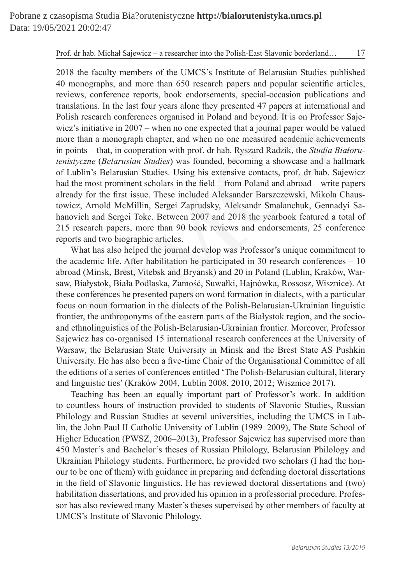2018 the faculty members of the UMCS's Institute of Belarusian Studies published 40 monographs, and more than 650 research papers and popular scientiic articles, reviews, conference reports, book endorsements, special-occasion publications and translations. In the last four years alone they presented 47 papers at international and Polish research conferences organised in Poland and beyond. It is on Professor Sajewicz's initiative in 2007 – when no one expected that a journal paper would be valued more than a monograph chapter, and when no one measured academic achievements in points – that, in cooperation with prof. dr hab. Ryszard Radzik, the *Studia Białorutenistyczne* (*Belarusian Studies*) was founded, becoming a showcase and a hallmark of Lublin's Belarusian Studies. Using his extensive contacts, prof. dr hab. Sajewicz had the most prominent scholars in the field – from Poland and abroad – write papers already for the irst issue. These included Aleksander Barszczewski, Mikoła Chaustowicz, Arnold McMillin, Sergei Zaprudsky, Aleksandr Smalanchuk, Gennadyi Sahanovich and Sergei Tokc. Between 2007 and 2018 the yearbook featured a total of 215 research papers, more than 90 book reviews and endorsements, 25 conference reports and two biographic articles. ons. In the last four years alone they presented 4/ papers at internation-<br>sesearch conferences organised in Poland and beyond. It is on Professearch<br>initative in 2007 – when no one expected that a journal paper would b<br>in

What has also helped the journal develop was Professor's unique commitment to the academic life. After habilitation he participated in 30 research conferences – 10 abroad (Minsk, Brest, Vitebsk and Bryansk) and 20 in Poland (Lublin, Kraków, Warsaw, Białystok, Biała Podlaska, Zamość, Suwałki, Hajnówka, Rossosz, Wisznice). At these conferences he presented papers on word formation in dialects, with a particular focus on noun formation in the dialects of the Polish-Belarusian-Ukrainian linguistic frontier, the anthroponyms of the eastern parts of the Białystok region, and the socioand ethnolinguistics of the Polish-Belarusian-Ukrainian frontier. Moreover, Professor Sajewicz has co-organised 15 international research conferences at the University of Warsaw, the Belarusian State University in Minsk and the Brest State AS Pushkin University. He has also been a five-time Chair of the Organisational Committee of all the editions of a series of conferences entitled 'The Polish-Belarusian cultural, literary and linguistic ties' (Kraków 2004, Lublin 2008, 2010, 2012; Wisznice 2017).

Teaching has been an equally important part of Professor's work. In addition to countless hours of instruction provided to students of Slavonic Studies, Russian Philology and Russian Studies at several universities, including the UMCS in Lublin, the John Paul II Catholic University of Lublin (1989–2009), The State School of Higher Education (PWSZ, 2006–2013), Professor Sajewicz has supervised more than 450 Master's and Bachelor's theses of Russian Philology, Belarusian Philology and Ukrainian Philology students. Furthermore, he provided two scholars (I had the honour to be one of them) with guidance in preparing and defending doctoral dissertations in the ield of Slavonic linguistics. He has reviewed doctoral dissertations and (two) habilitation dissertations, and provided his opinion in a professorial procedure. Professor has also reviewed many Master's theses supervised by other members of faculty at UMCS's Institute of Slavonic Philology.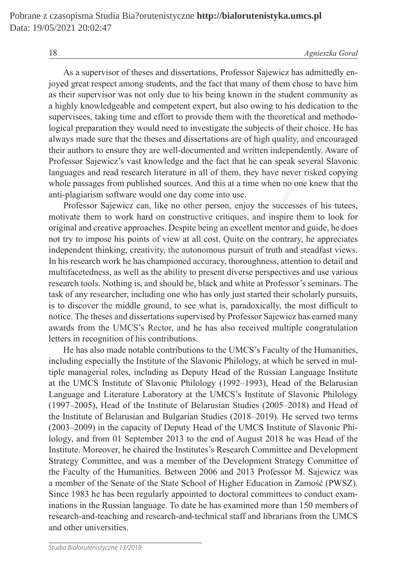As a supervisor of theses and dissertations, Professor Sajewicz has admittedly enjoyed great respect among students, and the fact that many of them chose to have him as their supervisor was not only due to his being known in the student community as a highly knowledgeable and competent expert, but also owing to his dedication to the supervisees, taking time and effort to provide them with the theoretical and methodological preparation they would need to investigate the subjects of their choice. He has always made sure that the theses and dissertations are of high quality, and encouraged their authors to ensure they are well-documented and written independently. Aware of Professor Sajewicz's vast knowledge and the fact that he can speak several Slavonic languages and read research literature in all of them, they have never risked copying whole passages from published sources. And this at a time when no one knew that the anti-plagiarism software would one day come into use.

Professor Sajewicz can, like no other person, enjoy the successes of his tutees, motivate them to work hard on constructive critiques, and inspire them to look for original and creative approaches. Despite being an excellent mentor and guide, he does not try to impose his points of view at all cost. Quite on the contrary, he appreciates independent thinking, creativity, the autonomous pursuit of truth and steadfast views. In his research work he has championed accuracy, thoroughness, attention to detail and multifacetedness, as well as the ability to present diverse perspectives and use various research tools. Nothing is, and should be, black and white at Professor's seminars. The task of any researcher, including one who has only just started their scholarly pursuits, is to discover the middle ground, to see what is, paradoxically, the most dificult to notice. The theses and dissertations supervised by Professor Sajewicz has earned many awards from the UMCS's Rector, and he has also received multiple congratulation letters in recognition of his contributions. nowledgeable and competent expert, but also owing to his dedication<br>s, taking time and effort to provide them with the theoretical and met<br>pararation they would need to investigate the subjects of their choice. I<br>de sure t

He has also made notable contributions to the UMCS's Faculty of the Humanities, including especially the Institute of the Slavonic Philology, at which he served in multiple managerial roles, including as Deputy Head of the Russian Language Institute at the UMCS Institute of Slavonic Philology (1992–1993), Head of the Belarusian Language and Literature Laboratory at the UMCS's Institute of Slavonic Philology (1997–2005), Head of the Institute of Belarusian Studies (2005–2018) and Head of the Institute of Belarusian and Bulgarian Studies (2018–2019). He served two terms (2003–2009) in the capacity of Deputy Head of the UMCS Institute of Slavonic Philology, and from 01 September 2013 to the end of August 2018 he was Head of the Institute. Moreover, he chaired the Institutes's Research Committee and Development Strategy Committee, and was a member of the Development Strategy Committee of the Faculty of the Humanities. Between 2006 and 2013 Professor M. Sajewicz was a member of the Senate of the State School of Higher Education in Zamość (PWSZ). Since 1983 he has been regularly appointed to doctoral committees to conduct examinations in the Russian language. To date he has examined more than 150 members of research-and-teaching and research-and-technical staff and librarians from the UMCS and other universities.